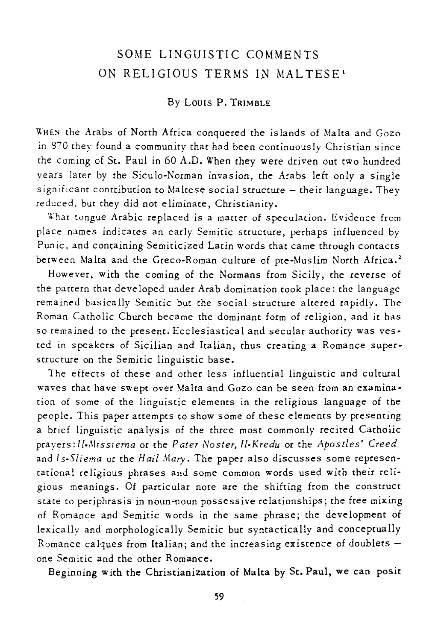# SOME LINGUISTIC COMMENTS ON RELIGIOUS TERMS IN MALTESE<sup>1</sup>

## By LOUIS P. TRIMBLE

WHEN the Arabs of North Africa conquered the islands of Malta and Gozo in 870 they found a community that had been continuously Christian since the coming of St. Paul in 60 A.D. When they were driven out two hundred years later by the Siculo-Norman invasion, the Arabs left only a single significant contribution to Maltese social structure - their language. They reduced. but they did not eliminate, Christianity.

What tongue Arabic replaced *is* a matter of speculation. Evidence from place names indicates an early Semitic structure, perhaps influenced by Punic, and containing Semiticized Latin words that came through contacts between Malta and the Greco-Roman culture of pre-Muslim North Africa.<sup>2</sup>

However, with the coming of the Normans from Sicily, the reverse of the pattern that developed under Arab domination took place: the language remained basically Semitic but the social structure altered rapidly. The Roman Catholic Church became the dominant form of religion, and it has so remained to the present. Ecclesiastical and secular authority was vested in speakers of Sicilian and Italian, thus creating a Romance superstructure on the Semitic linguistic base.

The effects of these and other less influential linguistic and cultural waves that have swept over Malta and Gozo can be seen from an examination of Some of the linguistic elements in the religious language of the people. This paper attempts to show some of these elements by presenting a brief linguistic analysis of the three most commonly recited Catholic prayers:ll-,\Iissiema or the *Pater Noster, ll-Kredu* or the *Apostles' Creed*  and *ls-Sliema* or the *Hail Mary*. The paper also discusses some representational religious phrases and some common words used with their religious meanings. Of particular note are the shifting from the construct state to periphrasis in noun-noun possessive relationships; the free mixing of Romance and Semitic words in the same phrase; the development of lexically and morphologically Semitic but syntactically and conceptually Romance calques from Italian; and the increasing existence of doublets one Semitic and the other Romance.

Beginning with the Christianization of Malta by St. Paul, we can posit

59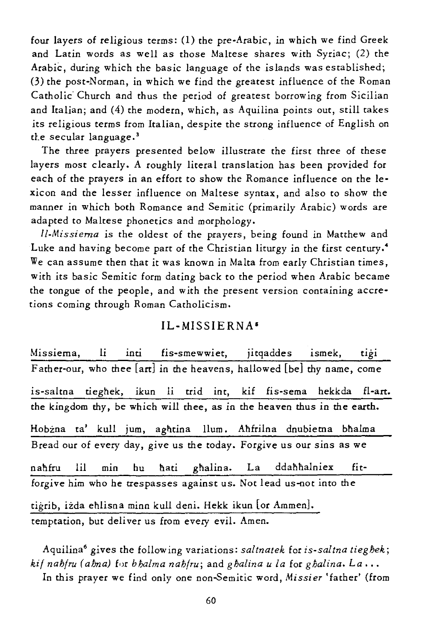four layers of religious terms: (1) the pre-Arabic, in which we find Greek and Latin words as well as those Maltese shares with Syriac; (2) the Arabic, during which the basic language of the islands was established; (3) the post-Norman, in which we find the greatest influence of the Roman Catholic" Church and thus the period of greatest borrowing from Sicilian and Italian; and (4) the modern, which, as Aquilina points out, still takes its religious terms from Italian, despite the strong influence of English on the secular language.<sup>3</sup>

The three prayers presented below illustrate the first three of these layers most clearly. A roughly literal translation has been provided for each of the prayers in an effort to show the Romance influence on the lexicon and the lesser influence on Maltese syntax, and also to show the manner in which both Romance and Semitic (primarily Arabic) words are adapted to Maltese phonetics and morphology.

*ll-Missiema* is the oldest of the prayers, being found in Matthew and Luke and having become part of the Christian liturgy in the first century.<sup>4</sup> We can assume then that it was known in Malta from early Christian times, with its basic Semitic form dating back to the period when Arabic became the tongue of the people, and with the present version containing accre*tions* coming through Roman Catholicism.

#### IL-MISSIERNA'

Missiema, li inti fis-smewwiet, jitqaddes ismek, tigi Father-our, who thee [arc] in the heavens, hallowed [be] thy name, come is-saltna tieghek, ikun li trid int, kif fis-sema hekkda fl-art. the kingdom thy, be which will thee, as in the heaven thus in the earth. Hobżna ta' kull jum, aghtina Ilum. Ahfrilna dnubietna bhalma Bread our of every day, give us the today. Forgive us our sins as we nahfru lil min hu hati ghalina. La ddahhalniex fitforgive *him* who he trespasses against us. Not lead us-not into the tigrib, iżda ehlisna minn kull deni. Hekk ikun [or Ammen]. temptation, but deliver us from every evil. Amen.

Aquilina6 gives the follow ing variations: *saltnatek* for *is-saltna tieghek; kif nahfru (ahna)* for *b halma nahfru*; and *g halina u la for g halina*. La... In this prayer we find only one non-Semitic word, Missier 'father' (from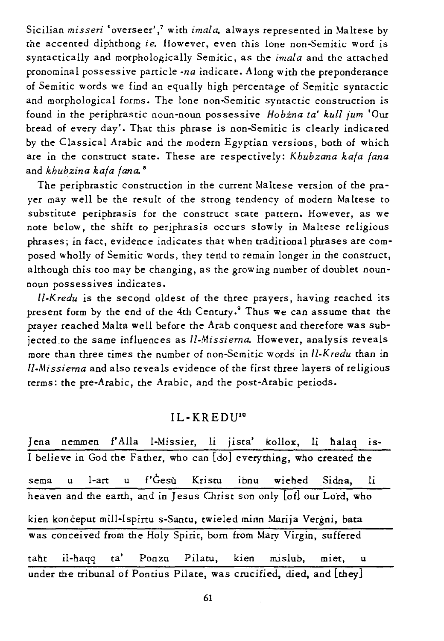Sicilian *misseri* 'overseer' / with *imala,* always represented in Maltese by the accented diphthong *ie*. However, even this lone non-Semitic word is syntactically and morphologically Semitic, as the *imala* and the attached pronominal possessive particle *-na* indicate. Along with the preponderance of Semitic words we find an equally high percentage of Semitic syntactic and morphological forms. The lone non-Semitic syntactic construction is found in the periphrastic noun-noun possessive *#obina ta' kull jum* 'Our bread of every day'. That this phrase is non-Semitic is clearly indicated by the Classical Arabic and the modern Egyptian versions, both of which are in the construct state. These are respectively: *Khubzana kafa {ana*  and *khubzina kafa {ana. •* 

The periphrastic construction in the current Maltese version of the prayer may well be the result of the strong tendency of modern Maltese to substitute periphrasis for the construct state pattern. However, as we note below, the *shift* to periphrasis occurs slowly in Maltese religious phrases; in fact, evidence indicates that when traditional phrases are composed wholly of *Semitic* words, they tend to remain longer in the construct, although this too may be changing, as the growing number of doublet nounnoun possessives indicates.

*ll-Kredu is* the second oldest of the three prayers, having reached its present form by the end of the 4th Century.9 Thus we can assume that the prayer reached Malta well before the Arab conquest and therefore was subjected.to the same influences as *II-Missiema.* However, analysis reveals more than three *times* the number of non-Semitic words in *ll-Kredu* than in *Il-Missiema* and also reveals evidence of the first three layers of *religious*  terms: the pre-Arabic, the Arabic, and the post-Arabic periods.

## IL-KREDU10

Jena nemmen f'Alla I-Missier, li jista' kollox, li halaq is-I believe in God the Father, who can [do] everything, who created the sema u I-art u f'Ges-u Kriscu ibnu wiehed *Si* dna, li heaven and the earth, and in Jesus Christ son only [of] our Lord, who kien konceput mill-Ispirtu s-Santu, twieled mina Marija Vergni, bata was conceived from the Holy Spirit, born from Mary Virgin, suffered taht il-haqq ta' Ponzu Pilatu, kien mislub, miet, under the tribunal of Pontius Pilate, was crucified, died, and [they]

61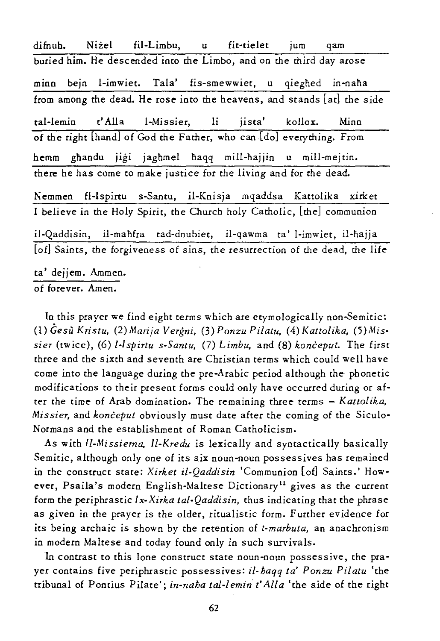difnuh. Niżel fil-Limbu, u fit-tielet jum qam buried him. He descended into the Limbo, and on the third day arose minn bejn l-imwiet. Tala' fis-smewwiet, u qieghed in-naha from among the dead. He rose into the heavens, and stands [at] the side tal-Iemin t' Alia I-Missier, li jista' kollox. Minn of the right [handl of God the Father, who can [dol everything. From hemm ghandu jigi jaghmel haqq mill-hajjin u mill-mejtin. there he has come to make justice for the living and for the dead. Nemmen fl-Ispirtu s-Santu, il-Knisja mqaddsa Kattolika xirket I believe in the Holy Spirit, the Church holy Catholic, [the] communion il-Qaddisin, il-mahfra tad-dnubiet, il-qawma ta' l-imwiet, il-hajja [of] Saints, the forgiveness of sins, the resurrection of the dead, the life ta' dejjem. Ammen. of forever. Amen.

In this prayer we find eight terms which are etymologically non-Semitic: (1) *Gesu Kristu,* (2) *Marija Vergni,* (3) *Ponzu Pifatu,* (4) *Kattolika, (5)Missier* (twice), (6) *I-Ispirtu s-Santu,* (7) *Limbu,* and (8) *konceput.* The first three and the sixth and seventh are Christian terms which could well have come into the language during the pre-Arabic period although the phonetic modifications to their present forms could only have occurred during or after the time of Arab domination. The remaining three terms - *Kattolika, Missier,* and *konceput* obviously must date after the coming of the Siculo-Normans and the establishment of Roman Catholicism.

As with *Il-Missiema, Il-Kredu* is lexically and syntactically basically Semitic, although only one of its six noun-noun possessives has remained in the construct state: *Xirket if-Qaddisin* 'Communion [of] Saints.' However, Psaila's modern English-Maltese Dictionary<sup>11</sup> gives as the current form the periphrastic *I x-Xirka tal-Qaddisin,* thus indicating that the phrase as given in the prayer is the older, ritualistic form. Further evidence for its being archaic is shown by the retention of *t-marbuta,* an anachronism in modern Maltese and today found only in such survivals.

In contrast to this lone construct state noun-noun possessive, the prayer contains five periphrastic possessives: *if· haqq ta' Ponzu Pilatu* 'the tribunal of Pontius Pilate'; *in-naha tal-femin t' AlIa* 'the side of the right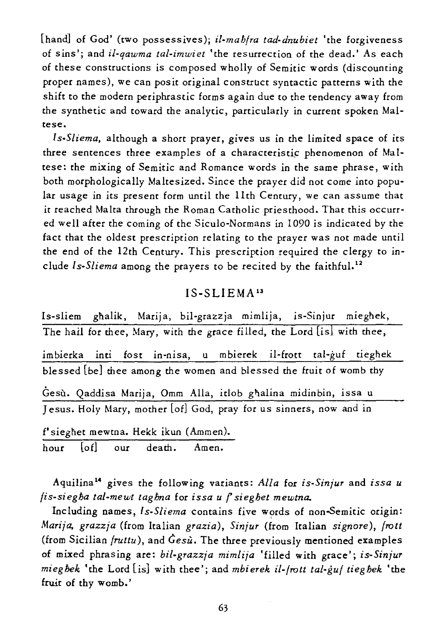[hand] of God' (two possessives); *il-mah(ra tad-dnubiet* 'the forgiveness of *sins';* and *il-qawma tal-imwiet* 'the resurrection of the dead.' As each of these constructions is composed wholly of Semitic words (discounting proper names), we can posit original construct syntactic patterns with the shift to the modern periphrastic forms again due to the tendency away from the synthetic and toward the analytic, particularly in current spoken Maltese\_

*1 s-S/iema.* although a short prayer, gives us in the limited space of its three sentences three examples of a characteristic phenomenon of Maltese: the mixing of Semitic and Romance words in the same phrase, with both morphologically Maltesized. Since the prayer did not come into popular usage in its present form until the 11th Century, we can assume that *it* reached Malta through the Roman Catholic priesthood. That this occurred well after the coming of the Siculo-Normans in 1090 is indicated by the fact that the oldest prescription re lating to the prayer was not made until the end of the 12th Century. This prescription required the clergy to include *ls-Sliema* among the prayers to be recited by the faithful.<sup>12</sup>

## IS-SLIEMA13

Is-sliem gnalik, Marija, bil-grazzja mimlija, is-Sinjur miegnek, The hail for thee, Mary, with the grace filled, the Lord *[is]* with thee, imbierka *inti* fost in-nisa, u mbierek il-frott tal-guf tiegnek blessed [be] thee among the women and blessed the fruit of womb thy Gesu. Qaddisa Marija, Omm AlIa, idob gnalina midinbin, *issa* u Jesus. Holy Mary, mother [of] God, pray for us sinners, now and in f'sieghet mewtna. Hekk ikun (Ammen).

hour [of] our death. Amen.

Aquilina 14 gives the following variants: *Alla* for *is-Sinjur* and *issa u fis-siegha tal-mewt taghna* for *issa u r sieghet mewtna.* 

Including names, *Is-Sliema* contains five words of non-Semitic origin: *Marija, grazzja* (from Italian *grazia), Sinjur* (from Italian *signore), froit*  (from *Sicilian fruttu),* and *0esu.* The three previously mentioned examples of mixed phrasing are: *bil-grazzja mimlija* 'filled with grace'; *is-Sinjur mieghek* 'the Lord *[is]* with thee'; and *mbierek il-/rott tal-gut tieghek* 'the fruit of thy womb.'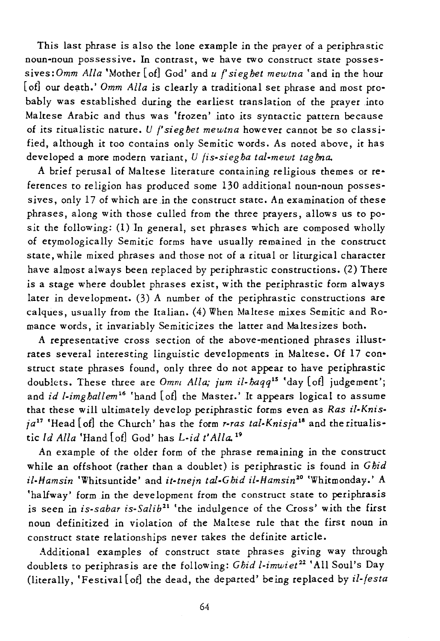This last phrase is also the lone example in the prayer of a periphrastic noun-noun possessive. In contrast, we have two construct state possessives: Omm Alla 'Mother [of] God' and *u f*' sieghet mewtna 'and in the hour [of] our death.' *Omm Alla* is clearly a traditional set phrase and most probably was established during the earliest translation of the prayer into Maltese Arabic and thus was 'frozen' into its syntactic pattern because of its ritualistic nature. *U f'sieghet mewtna* however cannot be so classified, although it too contains only Semitic words. As noted above, it has developed a more modern variant, U *fis-siegha tal-mewt taghna*.

A brief perusal of Maltese literature containing religious themes or references to religion has produced some 130 additional noun-noun possessives, only 17 of which are in the construct state. An examination of these phrases, along with those culled from the three prayers, allows us to posit the following: (1) In general, set phrases which are composed wholly of etymologically Semitic forms have usually remained *in* the construct state, while mixed phrases and those not of a ritual or liturgical character have almost always been replaced by periphrastic constructions. (2) There *is* a stage where doublet phrases exist, with the periphrastic form always later *in* deve lopment. (3) A number of the periphrastic constructions are calques, usually from the Italian. (4) When Maltese mixes Semitic and Romance words, it invariably Semiticizes the latter and Maltesizes both.

A representative cross section of the above-mentioned phrases illustrates several interesting linguistic developments in Maltese. Of 17 construct state phrases found, only three do not appear to have periphrastic doublets. These three are *Omm Alla; jum il-baqq*<sup>15</sup> 'day [of] judgement'; and *id l-imghallem*<sup>16</sup> 'hand [of] the Master.' It appears logical to assume that these will ultimately develop periphrastic forms even as *Ras il-Knisja <sup>17</sup>*'Head [of] the Church' has the form *r-ras tal-Knisja l8* and the ritualistic *Id Alla* 'Hand [of] God' has *L-id t' Alla. 19* 

An example of the older form of the phrase remaining *in* the construct while an offshoot (rather than a doublet) *is* periphrastic *is* found *in Gfjid il-Hamsin* 'Whitsuntide' and *it-tnejn tal-Gfjid il-Hamsin20* 'Whitmonday.' A 'halfway' form in the deve lopment from the construct state to periphrasis *is* seen in *is-sabar is-Salib21* 'the indulgence of the Cross' with the first noun definitized in violation of the Maltese rule that the first noun in construct state relationships never takes the definite article.

Additional examples of construct state phrases giving way through doublets to periphrasis are the following: *Gfjid l-imwiet <sup>22</sup>*'All Soul's Day (literally, 'Festival [of] the dead, the departed' being replaced by *il-festa*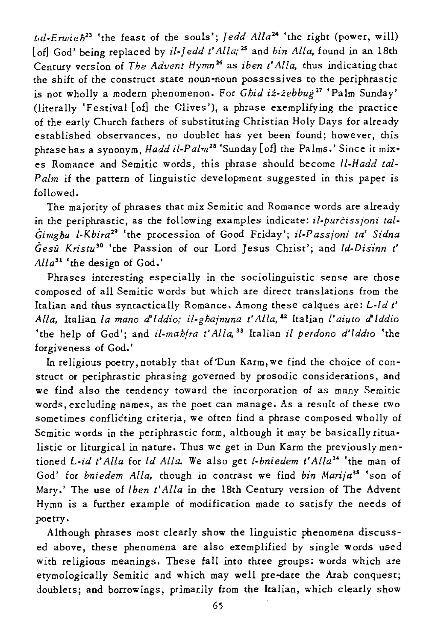*t,d.Erwieh23* 'the feast of the souls'; *Jedd Alla24* 'the right (power, will) [of] God' being replaced by *il-Jedd t'Alla*;<sup>25</sup> and *bin Alla*, found in an 18th Century version of *The Advent Hymn <sup>26</sup>*as *iben t' All a,* thus indicating that the shift of the construct state noun'noun possessives to the periphrastic is not wholly a modern phenomenon. For *Ghid iz-zebbug*<sup>27</sup> 'Palm Sunday' (literally 'Festival [of] the Olives '), a phrase exemplifying the practice of the early Church fathers of substituting Christian Holy Days for already established observances, no doublet has yet been found; however, this phrase has a synonym, *Hadd il·PaIm28* 'Sunday [of] the Palms.' Since it *mix·*  es Romance and *Semitic* words, this phrase should become *Il·Hadd tal·*  Palm if the pattern of linguistic development suggested in this paper is followed.

The majority of phrases that *mix Semitic* and Romance words are already in the periphrastic, as the following examples indicate: *il-purcissjoni tal-Gimgha l·Kbira<sup>29</sup>*'the procession of Good Friday'; *il.Passjoni ta' Sidna Gesu Kristu <sup>30</sup>*'the Passion of our Lord Jesus Christ'; and *Id·Diilnn t' Alla31* 'the design of God.'

Phrases interesting especially in the sociolinguistic sense are those composed of all *Semitic* words but which are direct translations from the Italian and thus syntactically Romance. Among these calques are: *L·l d t' Alla,* Italian *la mano d'lddio; i/.ghajnuna t'Alla,\$2* Italian *l'aiuto d'lddio*  'the help of God'; and *if·mahfra t' Alla,* 33 Italian *il perdono d'lddio* 'the forgiveness of God.'

In religious poetry, notably that of Dun Karm, we find the choice of construct or periphrastic phrasing governed by prosodic considerations, and we find also the tendency toward the incorporation of as many Semitic words, excluding names, as the poet can manage. As a result of these two sometimes conflicting criteria, we often find a phrase composed wholly of Semitic words in the periphrastic form, although it may be basically ritualistic or liturgical in nature. Thus we get in Dun Karm the previously mentioned *L·id t' Alla* for *Id Alia.* We also get *l-bniedem t'* A *lla* 34 'the man of God' for *bniedem Alla,* though in contrast we find *bin Marija <sup>35</sup>*'son of Mary.' The use of *Iben t'Alla* in the 18th Century version of The Advent Hymn is a further example of modification made to satisfy the needs of poetry.

Although phrases most clearly show the linguistic phenomena discussed above, these phenomena are also exemplified by single words used with religious meanings. These fall into three groups: words which are etymologically Semitic and which may well pre-date the Arab conquest; doublets; and borrowings, primarily from the Italian, which clearly show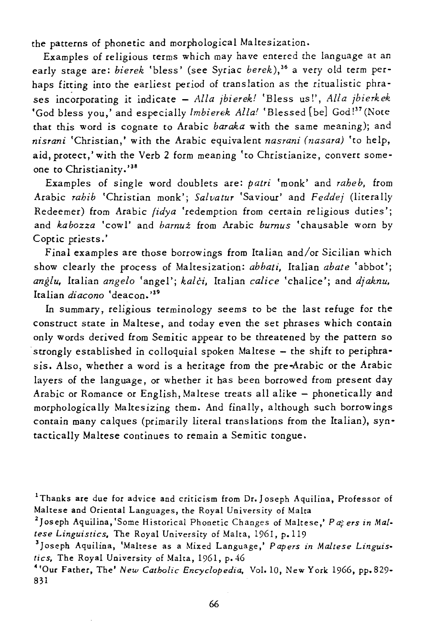the patterns of phonetic and morphological Maltesization.

Examples of religious terms which may have entered the language at an early stage are: *bierek* 'bless' (see Syriac *berek*),<sup>36</sup> a very old term perhaps fitting into the earliest period of translation as the ritualistic phrases incorporating it indicate - *Alla jbierek!* 'Bless us!', *Alla jbierkek* 'God bless you,' and especially *1mbierek Alla!* 'Blessed [be] God!37 (Note that this word is cognate to Arabic *baraka* with the same meaning); and *nisrani* 'Christian,' with the Arabic equivalent *nasrani (nasara)* 'to he lp, aid, protect,' with the Verb 2 form meaning 'to Christianize, convert someone to Christianity.'38

Examples of single word doublets are: *patri* 'monk' and *raheb.* from Arabic *rahib* 'Christian monk'; *Salvatur* 'Saviour' and *Feddej* (literally Redeemer) from Arabic *fidya* 'redemption from certain re ligious duties'; and *ka bozza* 'cow l' and *bamui* from Arabic *bumus* 'cha usable worn by Coptic priests.'

Final examples are those borrowings from Italian and/or Sicilian which show clearly the process of Maltesization: *abbati,* Italian *abate* 'abbot'; *anglu,* Italian *angelo* 'angel'; *kalci,* Italian *calice* 'chalice'; and *djaknu.*  Italian *diacono* 'deacon. '39

In summary, religious terminology seems to be the last refuge for the construct state in Maltese, and today even the set phrases which contain only words derived from Semitic appear to be threatened by the pattern so strongly established in colloquial spoken Maltese - the shift to periphrasis. Also, whether a word is a heritage from the pre-Arabic or the Arabic layers of the language, or whether *it* has been borrowed from present day Arabic or Romance or English, Maltese treats all alike - phonetically and morphologically Maltesizing them. And finally, although such borrowings contain many calques (primarily literal translations from the Italian), syntactically Maltese continues to remain a Semitic tongue.

<sup>&</sup>lt;sup>1</sup>Thanks are due for advice and criticism from Dr. Joseph Aquilina, Professor of Maltese and Oriental Languages, the Royal University of Malta

<sup>&</sup>lt;sup>2</sup> Joseph Aquilina, 'Some Historical Phonetic Changes of Maltese,' *Paters in Maltese Linguistics.* The Royal University of Malta, 1961, p.119

<sup>&</sup>lt;sup>3</sup> Joseph Aquilina, 'Maltese as a Mixed Language,' Papers in Maltese Linguis*tics.* The Royal University of Malta, 1961, p.46

<sup>4&#</sup>x27;Our Father, The' *New Catholic Encyclopedia,* Vol. IQ, New York 1966, pp.829- 831